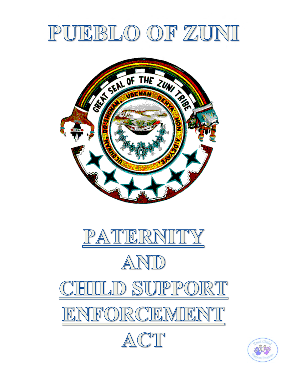# PUEBLO OF ZUNI







LID SUIPPORT

ENFORCEMENT



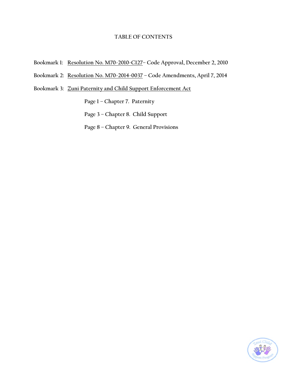## **TABLE OF CONTENTS**

- **Bookmark 1: Resolution No. M70-2010-C127– Code Approval, December 2, 2010**
- **Bookmark 2: Resolution No. M70-2014-0037 Code Amendments, April 7, 2014**

**Bookmark 3: Zuni Paternity and Child Support Enforcement Act** 

 **Page 1 – Chapter 7. Paternity Page 3 – Chapter 8. Child Support Page 8 – Chapter 9. General Provisions** 

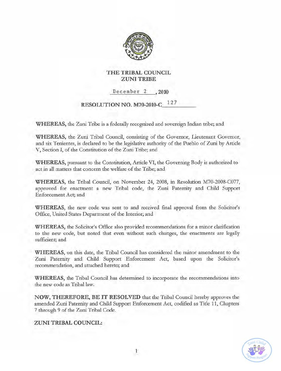

## **THE TRIBAL COUNCIL** ZUNI TRIBE

December 2 , 2010

\_

# **RESOLUTION NO. M70-2010-C\_ 127**

**WHEREAS,** the Zuni Tribe is a federally recognized and sovereign Indian tribe; and

**WHEREAS,** the Zuni Tribal Council, consisting of the Governor, Lieutenant Governor, and six Tenientes, is declared to be the legislative authority of the Pueblo of Zuni by Article V, Section I, of the Constitution of the Zuni Tribe; and

**WHEREAS,** pursuant to the Constitution, Article VI, the Governing Body is authorized to act in all matters that concern the welfare of the Tribe; and

**WHEREAS,** the Tribal Council, on November 24, 2008, in Resolution M70-2008-C077, approved for enactment a new Tribal code, the Zuni Paternity and Child Support Enforcement Act; and

**WHEREAS,** the new code was sent to and received final approval from the Solicitor's Office, United States Department of the Interior; and

**WHEREAS,** the Solicitor's Office also provided recommendations for a minor clarification to the new code, but noted that even without such changes, the enactments are legally sufficient; and

**WHEREAS,** on this date, the Tribal Council has considered the minor amendment to the Zuni Paternity and Child Support Enforcement Act, based upon the Solicitor's recommendation, and attached hereto; and

**WHEREAS,** the Tribal Council has determined to incorporate the recommendations into the new code as Tribal law.

**NOW, THEREFORE, BE IT RESOLVED** that the Tribal Council hereby approves the amended Zuni Paternity and Child Support Enforcement Act, codified as Title 11, Chapters 7 through 9 of the Zuni Tribal Code.

### **ZUNI TRIBAL COUNCIL:**

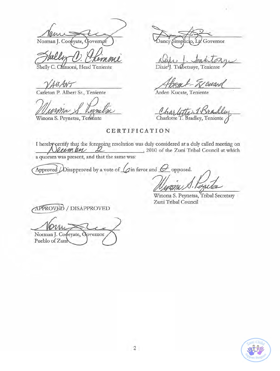Norman J. Cooeyate, C overnør

Shelly C. Chimoni, Head Teniente

Carleton P. Albert Sr., Teniente

Winona S. Peynetsa, Terrente

Dancy Simp Governor

Dixie<sup>I</sup>J. Tsabetsaye, Teniente

ause.

Arden Kucate, Teniente

Charlotte T. Bradley, Teniente

#### CERTIFICATION

I hereby certify that the foregoing resolution was duly considered at a duly called meeting on eemper \_, 2010 of the Zuni Tribal Council at which a quorum was present, and that the same was:

Approved  $\bigtriangleup$  is approved by a vote of  $\bigtriangleup$  in favor and  $\bigtriangleup$  opposed.

Winona S. Peynetsa, Tribal Secretary Zuni Tribal Council

APPROVED / DISAPPROVED

Norman J. Copeyate, Governor Pueblo of Zunl

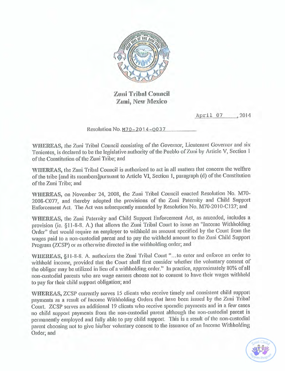

Zuni Tribal Council Zuni, New Mexico

April 07, 2014

Resolution No. M70-2014-0037

WHEREAS, the Zuni Tribal Council consisting of the Governor, Lieutenant Governor and six Tenientes, is declared to be the legislative authority of the Pueblo of Zuni by Article V, Section 1 of the Constitution of the Zuni Tribe; and

WHEREAS, the Zuni Tribal Council is authorized to act in all matters that concern the welfare of the tribe [and its members] pursuant to Article VI, Section 1, paragraph (d) of the Constitution of the Zuni Tribe; and

WHEREAS, on November 24, 2008, the Zuni Tribal Council enacted Resolution No. M70-2008-C077, and thereby adopted the provisions of the Zuni Paternity and Child Support Enforcement Act. The Act was subsequently amended by Resolution No. M70-2010-C127; and

WHEREAS, the Zuni Paternity and Child Support Enforcement Act, as amended, includes a provision (ie. §11-8-8. A.) that allows the Zuni Tribal Court to issue an "Income Withholding Order" that would require an employer to withhold an amount specified by the Court from the wages paid to a non-custodial parent and to pay the withheld amount to the Zuni Child Support Program (ZCSP) or as otherwise directed in the withholding order; and

WHEREAS, §11-8-8. A. authorizes the Zuni Tribal Court "...to enter and enforce an order to withhold income, provided that the Court shall first consider whether the voluntary consent of the obligor may be utilized in lieu of a withholding order." In practice, approximately 80% of all non-custodial parents who are wage earners choose not to consent to have their wages withheld to pay for their child support obligation; and

WHEREAS, ZCSP currently serves 15 clients who receive timely and consistent child support payments as a result of Income Withholding Orders that have been issued by the Zuni Tribal Court. ZCSP serves an additional 19 clients who receive sporadic payments and in a few cases no child support payments from the non-custodial parent although the non-custodial parent is permanently employed and fully able to pay child support. This is a result of the non-custodial parent choosing not to give his/her voluntary consent to the issuance of an Income Withholding Order; and

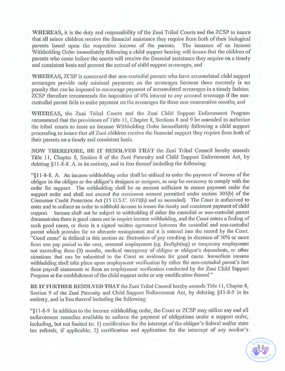WHEREAS, it is the duty and responsibility of the Zuni Tribal Courts and the ZCSP to insure that all minor children receive the financial assistance they require from both of their biological parents based upon the respective income of the parents. The issuance of an Income Withholding Order immediately following a child support hearing will insure that the children of parents who come before the courts will receive the financial assistance they require on a timely and consistent basis and prevent the accrual of child support arrearages, and

WHEREAS, ZCSP is concerned that non-custodial parents who have accumulated child support arrearages provide only minimal payments on the arrearages because there currently is no penalty that can be imposed to encourage payment of accumulated arrearages in a timely fashion. ZCSP therefore recommends the imposition of 6% interest to any accrued arrearage if the noncustodial parent fails to make payment on the arrearages for three non-consecutive months; and

WHEREAS, the Zuni Tribal Courts and the Zuni Child Support Enforcement Program recommend that the provisions of Title 11, Chapter 8, Sections 8 and 9 be amended to authorize the tribal courts to issue an Income Withholding Order immediately following a child support proceeding to insure that all Zuni children receive the financial support they require from both of their parents on a timely and consistent basis.

NOW THEREFORE, BE IT RESOLVED THAT the Zuni Tribal Council hereby amends Title 11, Chapter 8, Section 8 of the Zuni Paternity and Child Support Enforcement Act, by deleting 811-8-8. A, in its entirety, and in lieu thereof including the following:

"\$11-8-8. A. An income withholding order shall be utilized to order the payment of income of the obligor to the obligee or the obligee's designee or assignee, as may be necessary to comply with the order for support. The withholding shall be an amount sufficient to ensure payment under the support order and shall not exceed the maximum amount permitted under section 303(b) of the Consumer Credit Protection Act (15 U.S.C. 1673(b) and as amended). The Court is authorized to enter and to enforce an order to withhold income to insure the timely and consistent payment of child support. Income shall not be subject to withholding if either the custodial or non-custodial parent demonstrates there is good cause not to require income withholding, and the Court enters a finding of such good cause, or there is a signed written agreement between the custodial and non-custodial parent which provides for an alternate arrangement and it is entered into the record by the Court. "Good cause" is defined in this section as: fluctuation of pay resulting in decrease of 50% or more from one pay period to the next, seasonal employment (eg. firefighting) or temporary employment not exceeding three (3) months, medical emergency of obligee or obligee's dependents, or other situations that can be submitted to the Court as evidence for good cause. Immediate income withholding shall take place upon employment verification by either the non-custodial parent's last three payroll statements or from an employment verification conducted by the Zuni Child Support Program at the establishment of the child support order or any modification thereof."

BE IT FURTHER RESOLVED THAT the Zuni Tribal Council hereby amends Title 11, Chapter 8, Section 9 of the Zuni Paternity and Child Support Enforcement Act, by deleting §11-8-9 in its entirety, and in lieu thereof including the following:

"§11-8-9 In addition to the income withholding order, the Court or ZCSP may utilize any and all enforcement remedies available to enforce the payment of obligations under a support order, including, but not limited to: 1) certification for the intercept of the obligor's federal and/or state tax refunds, if applicable; 2) certification and application for the intercept of any worker's

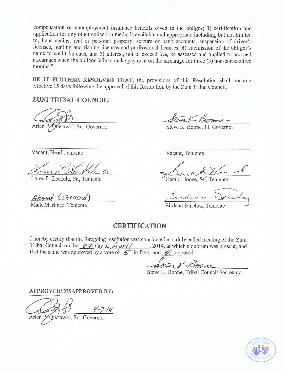compensation or unemployment insurance benefits owed to the obligor; 3) certification and application for any other collection methods available and appropriate including, but not limited to, liens against real or personal property, seizure of bank accounts, suspension of driver's licenses, hunting and fishing licenses and professional licenses; 4) submission of the obligor's name to credit bureaus, and 5) interest, not to exceed 6%, be assessed and applied to accrued arrearages when the obligor fails to make payment on the arrearage for three (3) non-consecutive months."

BE IT FURTHER RESOLVED THAT, the provisions of this Resolution shall become effective 15 days following the approval of this Resolution by the Zuni Tribal Council.

ZUNI TRIBAL COUNCIL:

Arlen P/Quetawki, Sr., Governor

Vacant, Head Teniente

Loren L. Leekela, Sr., Teniente

Absent CExcused

Mark Martinez, Teniente

Steve K. Boone, Lt. Governor

Vacant, Teniente

Gerald Hooee, Sr., Teniente

Birdena Sanchez, Teniente

### **CERTIFICATION**

I hereby certify that the foregoing resolution was considered at a duly called meeting of the Zuni Tribal Council on the  $\overline{OZ}$  day of  $\overline{Apn'}/$ , 2014, at which a quorum was present, and that the same was approved by a vote of  $\overline{S}$  in favor and  $\overline{O}$  opposed.

Steve K. Boone, Tribal Council Secretary

APPROVED/DISAPPROVED BY:

Arlen P. Quétawki, Sr., Governor

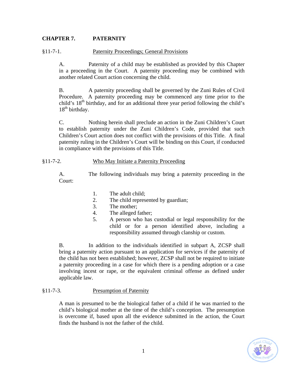# **CHAPTER 7. PATERNITY**

§11-7-1. Paternity Proceedings; General Provisions

A. Paternity of a child may be established as provided by this Chapter in a proceeding in the Court. A paternity proceeding may be combined with another related Court action concerning the child.

B. A paternity proceeding shall be governed by the Zuni Rules of Civil Procedure. A paternity proceeding may be commenced any time prior to the child's 18<sup>th</sup> birthday, and for an additional three year period following the child's  $18<sup>th</sup>$  birthday.

C. Nothing herein shall preclude an action in the Zuni Children's Court to establish paternity under the Zuni Children's Code, provided that such Children's Court action does not conflict with the provisions of this Title. A final paternity ruling in the Children's Court will be binding on this Court, if conducted in compliance with the provisions of this Title.

#### §11-7-2. Who May Initiate a Paternity Proceeding

A. The following individuals may bring a paternity proceeding in the Court:

- 1. The adult child;
- 2. The child represented by guardian;
- 3. The mother;
- 4. The alleged father;
- 5. A person who has custodial or legal responsibility for the child or for a person identified above, including a responsibility assumed through clanship or custom.

B. In addition to the individuals identified in subpart A, ZCSP shall bring a paternity action pursuant to an application for services if the paternity of the child has not been established; however, ZCSP shall not be required to initiate a paternity proceeding in a case for which there is a pending adoption or a case involving incest or rape, or the equivalent criminal offense as defined under applicable law.

## §11-7-3. Presumption of Paternity

A man is presumed to be the biological father of a child if he was married to the child's biological mother at the time of the child's conception. The presumption is overcome if, based upon all the evidence submitted in the action, the Court finds the husband is not the father of the child.

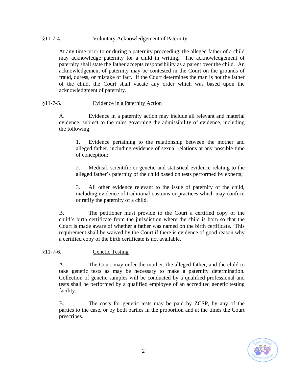## §11-7-4. Voluntary Acknowledgement of Paternity

At any time prior to or during a paternity proceeding, the alleged father of a child may acknowledge paternity for a child in writing. The acknowledgement of paternity shall state the father accepts responsibility as a parent over the child. An acknowledgement of paternity may be contested in the Court on the grounds of fraud, duress, or mistake of fact. If the Court determines the man is not the father of the child, the Court shall vacate any order which was based upon the acknowledgment of paternity.

#### §11-7-5. Evidence in a Paternity Action

A. Evidence in a paternity action may include all relevant and material evidence, subject to the rules governing the admissibility of evidence, including the following:

1. Evidence pertaining to the relationship between the mother and alleged father, including evidence of sexual relations at any possible time of conception;

2. Medical, scientific or genetic and statistical evidence relating to the alleged father's paternity of the child based on tests performed by experts;

3. All other evidence relevant to the issue of paternity of the child, including evidence of traditional customs or practices which may confirm or ratify the paternity of a child.

B. The petitioner must provide to the Court a certified copy of the child's birth certificate from the jurisdiction where the child is born so that the Court is made aware of whether a father was named on the birth certificate. This requirement shall be waived by the Court if there is evidence of good reason why a certified copy of the birth certificate is not available.

#### §11-7-6. Genetic Testing

A. The Court may order the mother, the alleged father, and the child to take genetic tests as may be necessary to make a paternity determination. Collection of genetic samples will be conducted by a qualified professional and tests shall be performed by a qualified employee of an accredited genetic testing facility.

B. The costs for genetic tests may be paid by ZCSP, by any of the parties to the case, or by both parties in the proportion and at the times the Court prescribes.

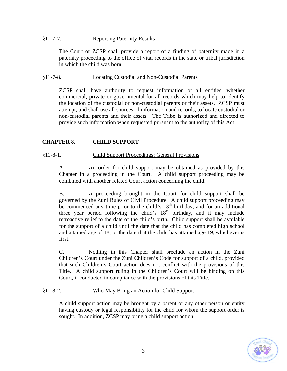### §11-7-7. Reporting Paternity Results

The Court or ZCSP shall provide a report of a finding of paternity made in a paternity proceeding to the office of vital records in the state or tribal jurisdiction in which the child was born.

#### §11-7-8. Locating Custodial and Non-Custodial Parents

ZCSP shall have authority to request information of all entities, whether commercial, private or governmental for all records which may help to identify the location of the custodial or non-custodial parents or their assets. ZCSP must attempt, and shall use all sources of information and records, to locate custodial or non-custodial parents and their assets. The Tribe is authorized and directed to provide such information when requested pursuant to the authority of this Act.

#### **CHAPTER 8. CHILD SUPPORT**

#### §11-8-1. Child Support Proceedings; General Provisions

A. An order for child support may be obtained as provided by this Chapter in a proceeding in the Court. A child support proceeding may be combined with another related Court action concerning the child.

B. A proceeding brought in the Court for child support shall be governed by the Zuni Rules of Civil Procedure. A child support proceeding may be commenced any time prior to the child's  $18<sup>th</sup>$  birthday, and for an additional three year period following the child's  $18<sup>th</sup>$  birthday, and it may include retroactive relief to the date of the child's birth. Child support shall be available for the support of a child until the date that the child has completed high school and attained age of 18, or the date that the child has attained age 19, whichever is first.

C. Nothing in this Chapter shall preclude an action in the Zuni Children's Court under the Zuni Children's Code for support of a child, provided that such Children's Court action does not conflict with the provisions of this Title. A child support ruling in the Children's Court will be binding on this Court, if conducted in compliance with the provisions of this Title.

## §11-8-2. Who May Bring an Action for Child Support

A child support action may be brought by a parent or any other person or entity having custody or legal responsibility for the child for whom the support order is sought. In addition, ZCSP may bring a child support action.

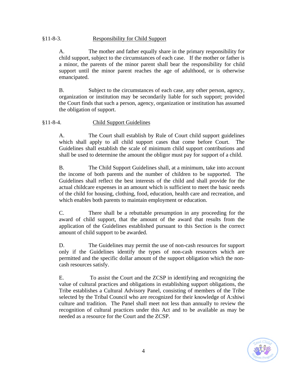## §11-8-3. Responsibility for Child Support

A. The mother and father equally share in the primary responsibility for child support, subject to the circumstances of each case. If the mother or father is a minor, the parents of the minor parent shall bear the responsibility for child support until the minor parent reaches the age of adulthood, or is otherwise emancipated.

B. Subject to the circumstances of each case, any other person, agency, organization or institution may be secondarily liable for such support; provided the Court finds that such a person, agency, organization or institution has assumed the obligation of support.

#### §11-8-4. Child Support Guidelines

A. The Court shall establish by Rule of Court child support guidelines which shall apply to all child support cases that come before Court. The Guidelines shall establish the scale of minimum child support contributions and shall be used to determine the amount the obligor must pay for support of a child.

B. The Child Support Guidelines shall, at a minimum, take into account the income of both parents and the number of children to be supported. The Guidelines shall reflect the best interests of the child and shall provide for the actual childcare expenses in an amount which is sufficient to meet the basic needs of the child for housing, clothing, food, education, health care and recreation, and which enables both parents to maintain employment or education.

C. There shall be a rebuttable presumption in any proceeding for the award of child support, that the amount of the award that results from the application of the Guidelines established pursuant to this Section is the correct amount of child support to be awarded.

D. The Guidelines may permit the use of non-cash resources for support only if the Guidelines identify the types of non-cash resources which are permitted and the specific dollar amount of the support obligation which the noncash resources satisfy.

E. To assist the Court and the ZCSP in identifying and recognizing the value of cultural practices and obligations in establishing support obligations, the Tribe establishes a Cultural Advisory Panel, consisting of members of the Tribe selected by the Tribal Council who are recognized for their knowledge of A:shiwi culture and tradition. The Panel shall meet not less than annually to review the recognition of cultural practices under this Act and to be available as may be needed as a resource for the Court and the ZCSP.

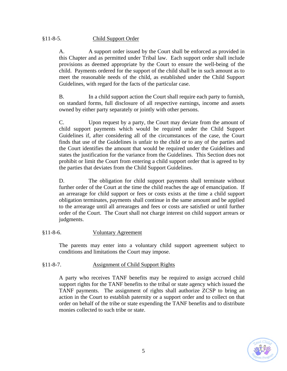# §11-8-5. Child Support Order

A. A support order issued by the Court shall be enforced as provided in this Chapter and as permitted under Tribal law. Each support order shall include provisions as deemed appropriate by the Court to ensure the well-being of the child. Payments ordered for the support of the child shall be in such amount as to meet the reasonable needs of the child, as established under the Child Support Guidelines, with regard for the facts of the particular case.

B. In a child support action the Court shall require each party to furnish, on standard forms, full disclosure of all respective earnings, income and assets owned by either party separately or jointly with other persons.

C. Upon request by a party, the Court may deviate from the amount of child support payments which would be required under the Child Support Guidelines if, after considering all of the circumstances of the case, the Court finds that use of the Guidelines is unfair to the child or to any of the parties and the Court identifies the amount that would be required under the Guidelines and states the justification for the variance from the Guidelines. This Section does not prohibit or limit the Court from entering a child support order that is agreed to by the parties that deviates from the Child Support Guidelines.

D. The obligation for child support payments shall terminate without further order of the Court at the time the child reaches the age of emancipation. If an arrearage for child support or fees or costs exists at the time a child support obligation terminates, payments shall continue in the same amount and be applied to the arrearage until all arrearages and fees or costs are satisfied or until further order of the Court. The Court shall not charge interest on child support arrears or judgments.

## §11-8-6. Voluntary Agreement

The parents may enter into a voluntary child support agreement subject to conditions and limitations the Court may impose.

## §11-8-7. Assignment of Child Support Rights

A party who receives TANF benefits may be required to assign accrued child support rights for the TANF benefits to the tribal or state agency which issued the TANF payments. The assignment of rights shall authorize ZCSP to bring an action in the Court to establish paternity or a support order and to collect on that order on behalf of the tribe or state expending the TANF benefits and to distribute monies collected to such tribe or state.

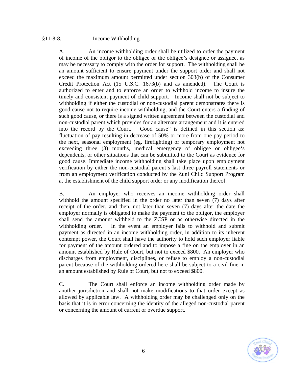## §11-8-8. Income Withholding

A. An income withholding order shall be utilized to order the payment of income of the obligor to the obligee or the obligee's designee or assignee, as may be necessary to comply with the order for support. The withholding shall be an amount sufficient to ensure payment under the support order and shall not exceed the maximum amount permitted under section 303(b) of the Consumer Credit Protection Act (15 U.S.C. 1673(b) and as amended). The Court is authorized to enter and to enforce an order to withhold income to insure the timely and consistent payment of child support. Income shall not be subject to withholding if either the custodial or non-custodial parent demonstrates there is good cause not to require income withholding, and the Court enters a finding of such good cause, or there is a signed written agreement between the custodial and non-custodial parent which provides for an alternate arrangement and it is entered into the record by the Court. "Good cause" is defined in this section as: fluctuation of pay resulting in decrease of 50% or more from one pay period to the next, seasonal employment (eg. firefighting) or temporary employment not exceeding three (3) months, medical emergency of obligee or obligee's dependents, or other situations that can be submitted to the Court as evidence for good cause. Immediate income withholding shall take place upon employment verification by either the non-custodial parent's last three payroll statements or from an employment verification conducted by the Zuni Child Support Program at the establishment of the child support order or any modification thereof.

B. An employer who receives an income withholding order shall withhold the amount specified in the order no later than seven (7) days after receipt of the order, and then, not later than seven (7) days after the date the employer normally is obligated to make the payment to the obligor, the employer shall send the amount withheld to the ZCSP or as otherwise directed in the withholding order. In the event an employer fails to withhold and submit payment as directed in an income withholding order, in addition to its inherent contempt power, the Court shall have the authority to hold such employer liable for payment of the amount ordered and to impose a fine on the employer in an amount established by Rule of Court, but not to exceed \$800. An employer who discharges from employment, disciplines, or refuse to employ a non-custodial parent because of the withholding ordered here shall be subject to a civil fine in an amount established by Rule of Court, but not to exceed \$800.

C. The Court shall enforce an income withholding order made by another jurisdiction and shall not make modifications to that order except as allowed by applicable law. A withholding order may be challenged only on the basis that it is in error concerning the identity of the alleged non-custodial parent or concerning the amount of current or overdue support.

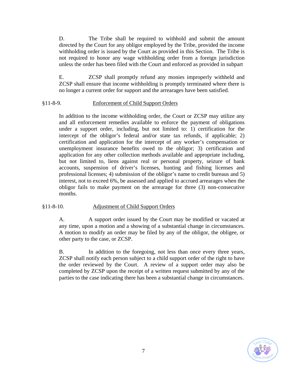D. The Tribe shall be required to withhold and submit the amount directed by the Court for any obligor employed by the Tribe, provided the income withholding order is issued by the Court as provided in this Section. The Tribe is not required to honor any wage withholding order from a foreign jurisdiction unless the order has been filed with the Court and enforced as provided in subpart

E. ZCSP shall promptly refund any monies improperly withheld and ZCSP shall ensure that income withholding is promptly terminated where there is no longer a current order for support and the arrearages have been satisfied.

#### §11-8-9. Enforcement of Child Support Orders

In addition to the income withholding order, the Court or ZCSP may utilize any and all enforcement remedies available to enforce the payment of obligations under a support order, including, but not limited to: 1) certification for the intercept of the obligor's federal and/or state tax refunds, if applicable; 2) certification and application for the intercept of any worker's compensation or unemployment insurance benefits owed to the obligor; 3) certification and application for any other collection methods available and appropriate including, but not limited to, liens against real or personal property, seizure of bank accounts, suspension of driver's licenses, hunting and fishing licenses and professional licenses; 4) submission of the obligor's name to credit bureaus and 5) interest, not to exceed 6%, be assessed and applied to accrued arrearages when the obligor fails to make payment on the arrearage for three (3) non-consecutive months.

#### §11-8-10. Adjustment of Child Support Orders

A. A support order issued by the Court may be modified or vacated at any time, upon a motion and a showing of a substantial change in circumstances. A motion to modify an order may be filed by any of the obligor, the obligee, or other party to the case, or ZCSP.

B. In addition to the foregoing, not less than once every three years, ZCSP shall notify each person subject to a child support order of the right to have the order reviewed by the Court. A review of a support order may also be completed by ZCSP upon the receipt of a written request submitted by any of the parties to the case indicating there has been a substantial change in circumstances.

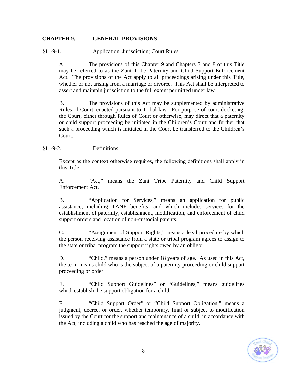## **CHAPTER 9. GENERAL PROVISIONS**

#### §11-9-1. Application; Jurisdiction; Court Rules

A. The provisions of this Chapter 9 and Chapters 7 and 8 of this Title may be referred to as the Zuni Tribe Paternity and Child Support Enforcement Act. The provisions of the Act apply to all proceedings arising under this Title, whether or not arising from a marriage or divorce. This Act shall be interpreted to assert and maintain jurisdiction to the full extent permitted under law.

B. The provisions of this Act may be supplemented by administrative Rules of Court, enacted pursuant to Tribal law. For purpose of court docketing, the Court, either through Rules of Court or otherwise, may direct that a paternity or child support proceeding be initiated in the Children's Court and further that such a proceeding which is initiated in the Court be transferred to the Children's Court.

#### §11-9-2. Definitions

Except as the context otherwise requires, the following definitions shall apply in this Title:

A. "Act," means the Zuni Tribe Paternity and Child Support Enforcement Act.

B. "Application for Services," means an application for public assistance, including TANF benefits, and which includes services for the establishment of paternity, establishment, modification, and enforcement of child support orders and location of non-custodial parents.

C. "Assignment of Support Rights," means a legal procedure by which the person receiving assistance from a state or tribal program agrees to assign to the state or tribal program the support rights owed by an obligor.

D. "Child," means a person under 18 years of age. As used in this Act, the term means child who is the subject of a paternity proceeding or child support proceeding or order.

E. "Child Support Guidelines" or "Guidelines," means guidelines which establish the support obligation for a child.

F. "Child Support Order" or "Child Support Obligation," means a judgment, decree, or order, whether temporary, final or subject to modification issued by the Court for the support and maintenance of a child, in accordance with the Act, including a child who has reached the age of majority.

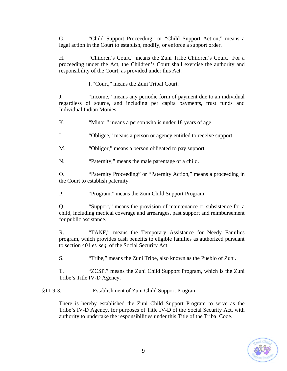G. "Child Support Proceeding" or "Child Support Action," means a legal action in the Court to establish, modify, or enforce a support order.

H. "Children's Court," means the Zuni Tribe Children's Court. For a proceeding under the Act, the Children's Court shall exercise the authority and responsibility of the Court, as provided under this Act.

I. "Court," means the Zuni Tribal Court.

J. "Income," means any periodic form of payment due to an individual regardless of source, and including per capita payments, trust funds and Individual Indian Monies.

K. "Winor," means a person who is under 18 years of age.

L. "Obligee," means a person or agency entitled to receive support.

M. "Obligor," means a person obligated to pay support.

N. "Paternity," means the male parentage of a child.

O. "Paternity Proceeding" or "Paternity Action," means a proceeding in the Court to establish paternity.

P. "Program," means the Zuni Child Support Program.

Q. "Support," means the provision of maintenance or subsistence for a child, including medical coverage and arrearages, past support and reimbursement for public assistance.

R. "TANF," means the Temporary Assistance for Needy Families program, which provides cash benefits to eligible families as authorized pursuant to section 401 *et. seq.* of the Social Security Act.

S. "Tribe," means the Zuni Tribe, also known as the Pueblo of Zuni.

T. "ZCSP," means the Zuni Child Support Program, which is the Zuni Tribe's Title IV-D Agency.

# §11-9-3. Establishment of Zuni Child Support Program

There is hereby established the Zuni Child Support Program to serve as the Tribe's IV-D Agency, for purposes of Title IV-D of the Social Security Act, with authority to undertake the responsibilities under this Title of the Tribal Code.